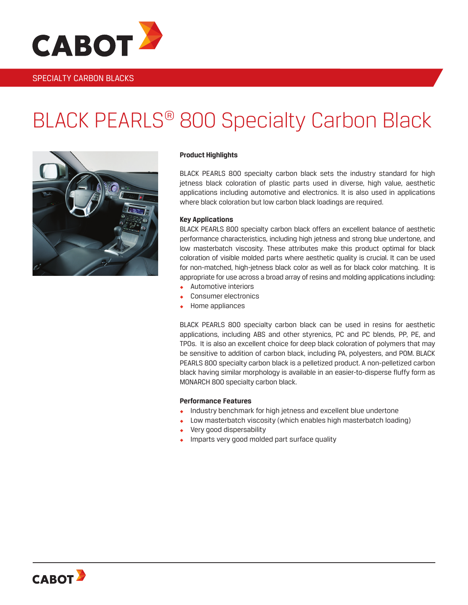

### SPECIALTY CARBON BLACKS

# BLACK PEARLS® 800 Specialty Carbon Black



#### **Product Highlights**

BLACK PEARLS 800 specialty carbon black sets the industry standard for high jetness black coloration of plastic parts used in diverse, high value, aesthetic applications including automotive and electronics. It is also used in applications where black coloration but low carbon black loadings are required.

#### **Key Applications**

BLACK PEARLS 800 specialty carbon black offers an excellent balance of aesthetic performance characteristics, including high jetness and strong blue undertone, and low masterbatch viscosity. These attributes make this product optimal for black coloration of visible molded parts where aesthetic quality is crucial. It can be used for non-matched, high-jetness black color as well as for black color matching. It is appropriate for use across a broad array of resins and molding applications including:

- Automotive interiors
- Consumer electronics
- Home appliances

BLACK PEARLS 800 specialty carbon black can be used in resins for aesthetic applications, including ABS and other styrenics, PC and PC blends, PP, PE, and TPOs. It is also an excellent choice for deep black coloration of polymers that may be sensitive to addition of carbon black, including PA, polyesters, and POM. BLACK PEARLS 800 specialty carbon black is a pelletized product. A non-pelletized carbon black having similar morphology is available in an easier-to-disperse fluffy form as MONARCH 800 specialty carbon black.

#### **Performance Features**

- Industry benchmark for high jetness and excellent blue undertone
- Low masterbatch viscosity (which enables high masterbatch loading)
- ◆ Very good dispersability
- **IMPARE 19** Imparts very good molded part surface quality